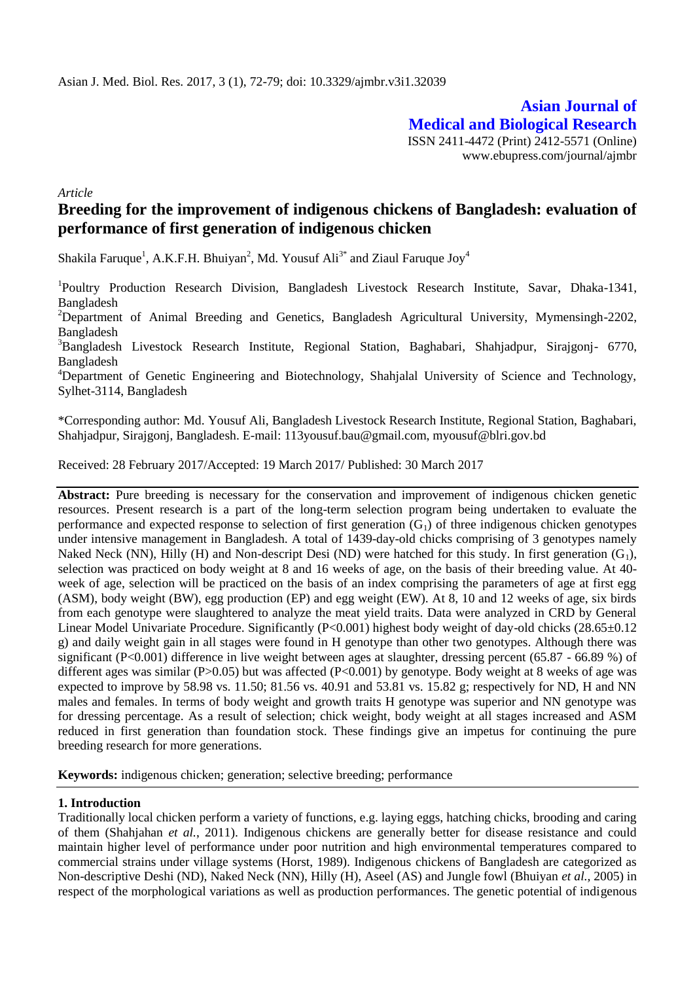**Asian Journal of Medical and Biological Research** ISSN 2411-4472 (Print) 2412-5571 (Online) www.ebupress.com/journal/ajmbr

*Article*

# **Breeding for the improvement of indigenous chickens of Bangladesh: evaluation of performance of first generation of indigenous chicken**

Shakila Faruque<sup>1</sup>, A.K.F.H. Bhuiyan<sup>2</sup>, Md. Yousuf Ali<sup>3\*</sup> and Ziaul Faruque Joy<sup>4</sup>

<sup>1</sup>Poultry Production Research Division, Bangladesh Livestock Research Institute, Savar, Dhaka-1341, Bangladesh

<sup>2</sup>Department of Animal Breeding and Genetics, Bangladesh Agricultural University, Mymensingh-2202, Bangladesh

<sup>3</sup>Bangladesh Livestock Research Institute, Regional Station, Baghabari, Shahjadpur, Sirajgonj- 6770, Bangladesh

<sup>4</sup>Department of Genetic Engineering and Biotechnology, Shahjalal University of Science and Technology, Sylhet-3114, Bangladesh

\*Corresponding author: Md. Yousuf Ali, Bangladesh Livestock Research Institute, Regional Station, Baghabari, Shahjadpur, Sirajgonj, Bangladesh. E-mail: 113yousuf.bau@gmail.com, myousuf@blri.gov.bd

Received: 28 February 2017/Accepted: 19 March 2017/ Published: 30 March 2017

**Abstract:** Pure breeding is necessary for the conservation and improvement of indigenous chicken genetic resources. Present research is a part of the long-term selection program being undertaken to evaluate the performance and expected response to selection of first generation  $(G_1)$  of three indigenous chicken genotypes under intensive management in Bangladesh. A total of 1439-day-old chicks comprising of 3 genotypes namely Naked Neck (NN), Hilly (H) and Non-descript Desi (ND) were hatched for this study. In first generation  $(G_1)$ , selection was practiced on body weight at 8 and 16 weeks of age, on the basis of their breeding value. At 40 week of age, selection will be practiced on the basis of an index comprising the parameters of age at first egg (ASM), body weight (BW), egg production (EP) and egg weight (EW). At 8, 10 and 12 weeks of age, six birds from each genotype were slaughtered to analyze the meat yield traits. Data were analyzed in CRD by General Linear Model Univariate Procedure. Significantly (P<0.001) highest body weight of day-old chicks (28.65±0.12 g) and daily weight gain in all stages were found in H genotype than other two genotypes. Although there was significant (P<0.001) difference in live weight between ages at slaughter, dressing percent (65.87 - 66.89 %) of different ages was similar  $(P>0.05)$  but was affected  $(P<0.001)$  by genotype. Body weight at 8 weeks of age was expected to improve by 58.98 vs. 11.50; 81.56 vs. 40.91 and 53.81 vs. 15.82 g; respectively for ND, H and NN males and females. In terms of body weight and growth traits H genotype was superior and NN genotype was for dressing percentage. As a result of selection; chick weight, body weight at all stages increased and ASM reduced in first generation than foundation stock. These findings give an impetus for continuing the pure breeding research for more generations.

**Keywords:** indigenous chicken; generation; selective breeding; performance

### **1. Introduction**

Traditionally local chicken perform a variety of functions, e.g. laying eggs, hatching chicks, brooding and caring of them (Shahjahan *et al.*, 2011). Indigenous chickens are generally better for disease resistance and could maintain higher level of performance under poor nutrition and high environmental temperatures compared to commercial strains under village systems (Horst, 1989). Indigenous chickens of Bangladesh are categorized as Non-descriptive Deshi (ND), Naked Neck (NN), Hilly (H), Aseel (AS) and Jungle fowl (Bhuiyan *et al.,* 2005) in respect of the morphological variations as well as production performances. The genetic potential of indigenous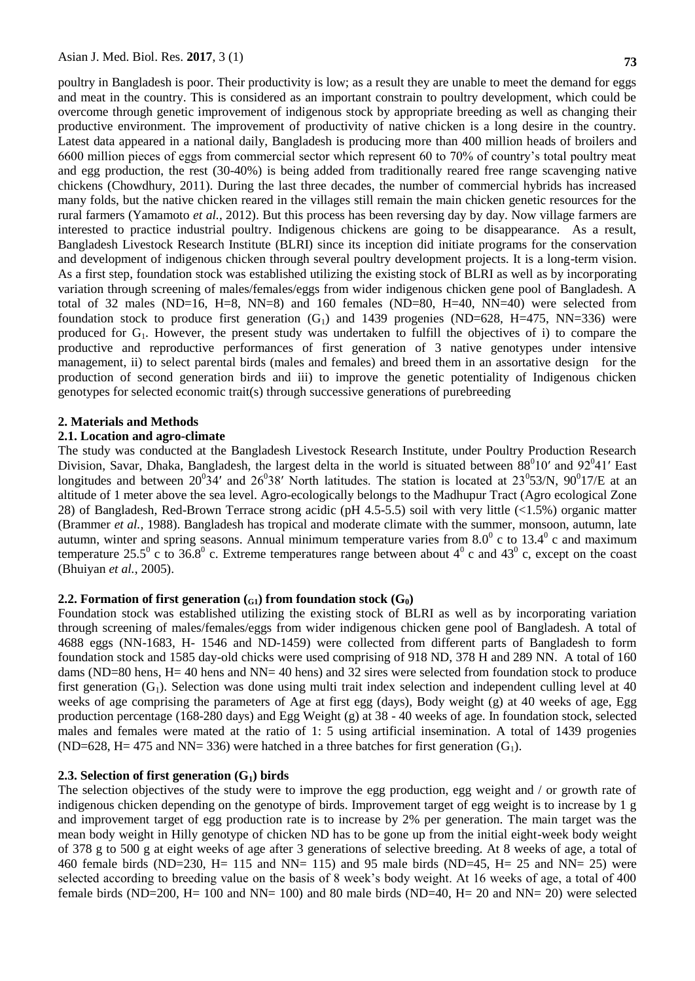poultry in Bangladesh is poor. Their productivity is low; as a result they are unable to meet the demand for eggs and meat in the country. This is considered as an important constrain to poultry development, which could be overcome through genetic improvement of indigenous stock by appropriate breeding as well as changing their productive environment. The improvement of productivity of native chicken is a long desire in the country. Latest data appeared in a national daily, Bangladesh is producing more than 400 million heads of broilers and 6600 million pieces of eggs from commercial sector which represent 60 to 70% of country's total poultry meat and egg production, the rest (30-40%) is being added from traditionally reared free range scavenging native chickens (Chowdhury, 2011). During the last three decades, the number of commercial hybrids has increased many folds, but the native chicken reared in the villages still remain the main chicken genetic resources for the rural farmers (Yamamoto *et al.*, 2012). But this process has been reversing day by day. Now village farmers are interested to practice industrial poultry. Indigenous chickens are going to be disappearance. As a result, Bangladesh Livestock Research Institute (BLRI) since its inception did initiate programs for the conservation and development of indigenous chicken through several poultry development projects. It is a long-term vision. As a first step, foundation stock was established utilizing the existing stock of BLRI as well as by incorporating variation through screening of males/females/eggs from wider indigenous chicken gene pool of Bangladesh. A total of 32 males (ND=16, H=8, NN=8) and 160 females (ND=80, H=40, NN=40) were selected from foundation stock to produce first generation  $(G_1)$  and 1439 progenies (ND=628, H=475, NN=336) were produced for G<sub>1</sub>. However, the present study was undertaken to fulfill the objectives of i) to compare the productive and reproductive performances of first generation of 3 native genotypes under intensive management, ii) to select parental birds (males and females) and breed them in an assortative design for the production of second generation birds and iii) to improve the genetic potentiality of Indigenous chicken genotypes for selected economic trait(s) through successive generations of purebreeding

### **2. Materials and Methods**

### **2.1. Location and agro-climate**

The study was conducted at the Bangladesh Livestock Research Institute, under Poultry Production Research Division, Savar, Dhaka, Bangladesh, the largest delta in the world is situated between  $88^010'$  and  $92^041'$  East longitudes and between  $20^034'$  and  $26^038'$  North latitudes. The station is located at  $23^053/N$ ,  $90^017/E$  at an altitude of 1 meter above the sea level. Agro-ecologically belongs to the Madhupur Tract (Agro ecological Zone 28) of Bangladesh, Red-Brown Terrace strong acidic (pH 4.5-5.5) soil with very little (<1.5%) organic matter (Brammer *et al.,* 1988). Bangladesh has tropical and moderate climate with the summer, monsoon, autumn, late autumn, winter and spring seasons. Annual minimum temperature varies from  $8.0^{\circ}$  c to  $13.4^{\circ}$  c and maximum temperature 25.5<sup>0</sup> c to 36.8<sup>0</sup> c. Extreme temperatures range between about 4<sup>0</sup> c and 43<sup>0</sup> c, except on the coast (Bhuiyan *et al.*, 2005).

### **2.2. Formation of first generation**  $(G_1)$  from foundation stock  $(G_0)$

Foundation stock was established utilizing the existing stock of BLRI as well as by incorporating variation through screening of males/females/eggs from wider indigenous chicken gene pool of Bangladesh. A total of 4688 eggs (NN-1683, H- 1546 and ND-1459) were collected from different parts of Bangladesh to form foundation stock and 1585 day-old chicks were used comprising of 918 ND, 378 H and 289 NN. A total of 160 dams (ND=80 hens, H= 40 hens and NN= 40 hens) and 32 sires were selected from foundation stock to produce first generation  $(G_1)$ . Selection was done using multi trait index selection and independent culling level at 40 weeks of age comprising the parameters of Age at first egg (days), Body weight (g) at 40 weeks of age, Egg production percentage (168-280 days) and Egg Weight (g) at 38 - 40 weeks of age. In foundation stock, selected males and females were mated at the ratio of 1: 5 using artificial insemination. A total of 1439 progenies  $(ND=628, H=475$  and NN= 336) were hatched in a three batches for first generation  $(G<sub>1</sub>)$ .

# **2.3. Selection of first generation (G1) birds**

The selection objectives of the study were to improve the egg production, egg weight and / or growth rate of indigenous chicken depending on the genotype of birds. Improvement target of egg weight is to increase by 1 g and improvement target of egg production rate is to increase by 2% per generation. The main target was the mean body weight in Hilly genotype of chicken ND has to be gone up from the initial eight-week body weight of 378 g to 500 g at eight weeks of age after 3 generations of selective breeding. At 8 weeks of age, a total of 460 female birds (ND=230, H= 115 and NN= 115) and 95 male birds (ND=45, H= 25 and NN= 25) were selected according to breeding value on the basis of 8 week's body weight. At 16 weeks of age, a total of 400 female birds (ND=200, H= 100 and NN= 100) and 80 male birds (ND=40, H= 20 and NN= 20) were selected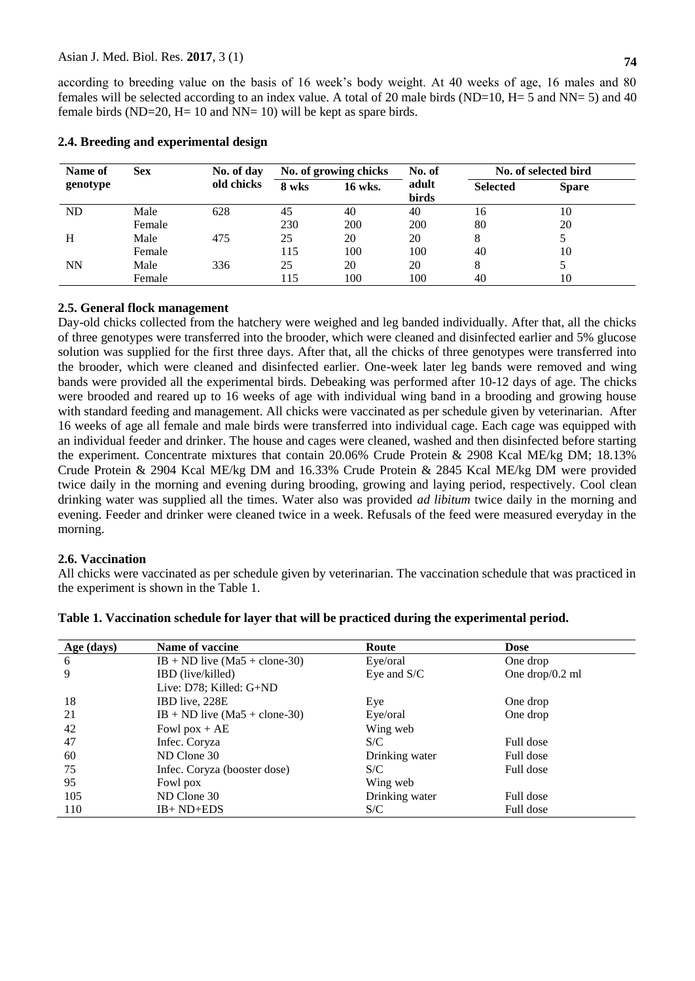according to breeding value on the basis of 16 week's body weight. At 40 weeks of age, 16 males and 80 females will be selected according to an index value. A total of 20 male birds (ND=10, H= 5 and NN= 5) and 40 female birds (ND=20, H= 10 and NN= 10) will be kept as spare birds.

| Name of   | <b>Sex</b> | No. of day | No. of growing chicks |         | No. of         | No. of selected bird |              |
|-----------|------------|------------|-----------------------|---------|----------------|----------------------|--------------|
| genotype  |            | old chicks | 8 wks                 | 16 wks. | adult<br>birds | <b>Selected</b>      | <b>Spare</b> |
| <b>ND</b> | Male       | 628        | 45                    | 40      | 40             | 16                   | 10           |
|           | Female     |            | 230                   | 200     | 200            | 80                   | 20           |
| H         | Male       | 475        | 25                    | 20      | 20             | 8                    |              |
|           | Female     |            | 115                   | 100     | 100            | 40                   | 10           |
| <b>NN</b> | Male       | 336        | 25                    | 20      | 20             | 8                    |              |
|           | Female     |            | 115                   | 100     | 100            | 40                   | 10           |

### **2.4. Breeding and experimental design**

# **2.5. General flock management**

Day-old chicks collected from the hatchery were weighed and leg banded individually. After that, all the chicks of three genotypes were transferred into the brooder, which were cleaned and disinfected earlier and 5% glucose solution was supplied for the first three days. After that, all the chicks of three genotypes were transferred into the brooder, which were cleaned and disinfected earlier. One-week later leg bands were removed and wing bands were provided all the experimental birds. Debeaking was performed after 10-12 days of age. The chicks were brooded and reared up to 16 weeks of age with individual wing band in a brooding and growing house with standard feeding and management. All chicks were vaccinated as per schedule given by veterinarian. After 16 weeks of age all female and male birds were transferred into individual cage. Each cage was equipped with an individual feeder and drinker. The house and cages were cleaned, washed and then disinfected before starting the experiment. Concentrate mixtures that contain 20.06% Crude Protein & 2908 Kcal ME/kg DM; 18.13% Crude Protein & 2904 Kcal ME/kg DM and 16.33% Crude Protein & 2845 Kcal ME/kg DM were provided twice daily in the morning and evening during brooding, growing and laying period, respectively. Cool clean drinking water was supplied all the times. Water also was provided *ad libitum* twice daily in the morning and evening. Feeder and drinker were cleaned twice in a week. Refusals of the feed were measured everyday in the morning.

### **2.6. Vaccination**

All chicks were vaccinated as per schedule given by veterinarian. The vaccination schedule that was practiced in the experiment is shown in the Table 1.

| Age (days) | Name of vaccine                 | Route          | <b>Dose</b>        |
|------------|---------------------------------|----------------|--------------------|
| -6         | $IB + ND$ live (Ma5 + clone-30) | Eye/oral       | One drop           |
| 9          | <b>IBD</b> (live/killed)        | Eye and S/C    | One drop/ $0.2$ ml |
|            | Live: D78; Killed: G+ND         |                |                    |
| 18         | IBD live, 228E                  | Eye            | One drop           |
| 21         | $IB + ND$ live (Ma5 + clone-30) | Eye/oral       | One drop           |
| 42         | Fowl $\text{pox} + \text{AE}$   | Wing web       |                    |
| 47         | Infec. Coryza                   | S/C            | Full dose          |
| 60         | ND Clone 30                     | Drinking water | Full dose          |
| 75         | Infec. Coryza (booster dose)    | S/C            | Full dose          |
| 95         | Fowl pox                        | Wing web       |                    |
| 105        | ND Clone 30                     | Drinking water | Full dose          |
| 110        | $IB+ND+EDS$                     | S/C            | Full dose          |

## **Table 1. Vaccination schedule for layer that will be practiced during the experimental period.**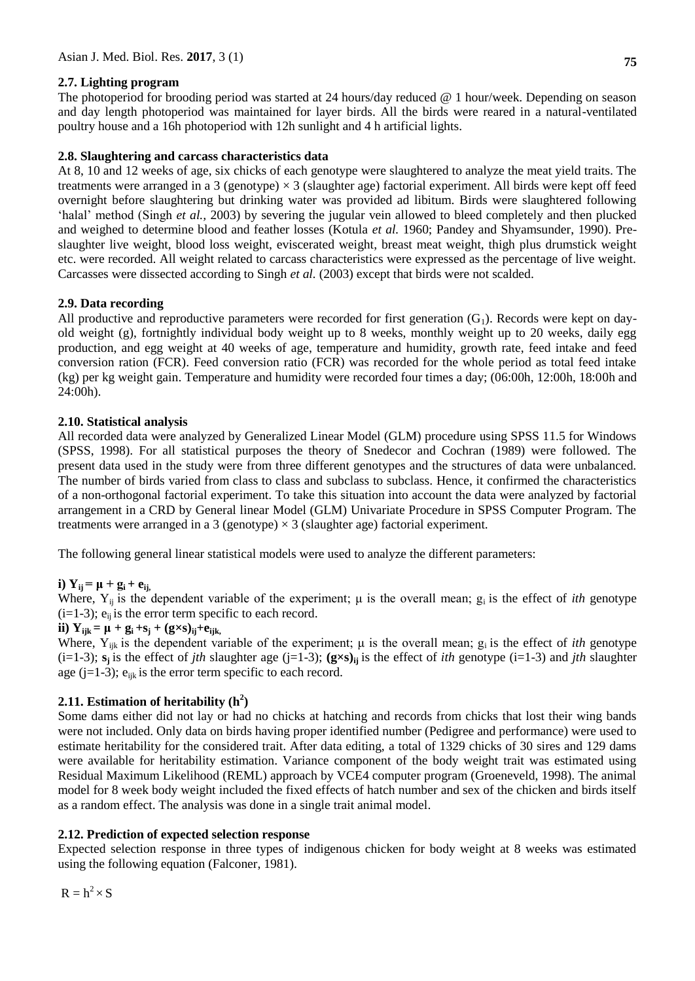# **2.7. Lighting program**

The photoperiod for brooding period was started at 24 hours/day reduced @ 1 hour/week. Depending on season and day length photoperiod was maintained for layer birds. All the birds were reared in a natural-ventilated poultry house and a 16h photoperiod with 12h sunlight and 4 h artificial lights.

## **2.8. Slaughtering and carcass characteristics data**

At 8, 10 and 12 weeks of age, six chicks of each genotype were slaughtered to analyze the meat yield traits. The treatments were arranged in a 3 (genotype)  $\times$  3 (slaughter age) factorial experiment. All birds were kept off feed overnight before slaughtering but drinking water was provided ad libitum. Birds were slaughtered following 'halal' method (Singh *et al.,* 2003) by severing the jugular vein allowed to bleed completely and then plucked and weighed to determine blood and feather losses (Kotula *et al.* 1960; Pandey and Shyamsunder, 1990). Preslaughter live weight, blood loss weight, eviscerated weight, breast meat weight, thigh plus drumstick weight etc. were recorded. All weight related to carcass characteristics were expressed as the percentage of live weight. Carcasses were dissected according to Singh *et al.* (2003) except that birds were not scalded.

# **2.9. Data recording**

All productive and reproductive parameters were recorded for first generation  $(G_1)$ . Records were kept on dayold weight (g), fortnightly individual body weight up to 8 weeks, monthly weight up to 20 weeks, daily egg production, and egg weight at 40 weeks of age, temperature and humidity, growth rate, feed intake and feed conversion ration (FCR). Feed conversion ratio (FCR) was recorded for the whole period as total feed intake (kg) per kg weight gain. Temperature and humidity were recorded four times a day; (06:00h, 12:00h, 18:00h and 24:00h).

### **2.10. Statistical analysis**

All recorded data were analyzed by Generalized Linear Model (GLM) procedure using SPSS 11.5 for Windows (SPSS, 1998). For all statistical purposes the theory of Snedecor and Cochran (1989) were followed. The present data used in the study were from three different genotypes and the structures of data were unbalanced. The number of birds varied from class to class and subclass to subclass. Hence, it confirmed the characteristics of a non-orthogonal factorial experiment. To take this situation into account the data were analyzed by factorial arrangement in a CRD by General linear Model (GLM) Univariate Procedure in SPSS Computer Program. The treatments were arranged in a 3 (genotype)  $\times$  3 (slaughter age) factorial experiment.

The following general linear statistical models were used to analyze the different parameters:

# **i**)  $Y_{ii} = \mu + g_i + e_{ii}$

Where,  $Y_{ii}$  is the dependent variable of the experiment;  $\mu$  is the overall mean;  $g_i$  is the effect of *ith* genotype  $(i=1-3)$ ;  $e_{ii}$  is the error term specific to each record.

**ii**)  $Y_{ijk} = \mu + g_i + s_j + (g \times s)_{ij} + e_{ijk}$ 

Where,  $Y_{ijk}$  is the dependent variable of the experiment;  $\mu$  is the overall mean;  $g_i$  is the effect of *ith* genotype (i=1-3);  $s_j$  is the effect of *jth* slaughter age (j=1-3);  $(g \times s)_{ij}$  is the effect of *ith* genotype (i=1-3) and *jth* slaughter age  $(i=1-3)$ ;  $e_{ijk}$  is the error term specific to each record.

# **2.11. Estimation of heritability (h<sup>2</sup> )**

Some dams either did not lay or had no chicks at hatching and records from chicks that lost their wing bands were not included. Only data on birds having proper identified number (Pedigree and performance) were used to estimate heritability for the considered trait. After data editing, a total of 1329 chicks of 30 sires and 129 dams were available for heritability estimation. Variance component of the body weight trait was estimated using Residual Maximum Likelihood (REML) approach by VCE4 computer program (Groeneveld, 1998). The animal model for 8 week body weight included the fixed effects of hatch number and sex of the chicken and birds itself as a random effect. The analysis was done in a single trait animal model.

# **2.12. Prediction of expected selection response**

Expected selection response in three types of indigenous chicken for body weight at 8 weeks was estimated using the following equation (Falconer, 1981).

 $R = h^2 \times S$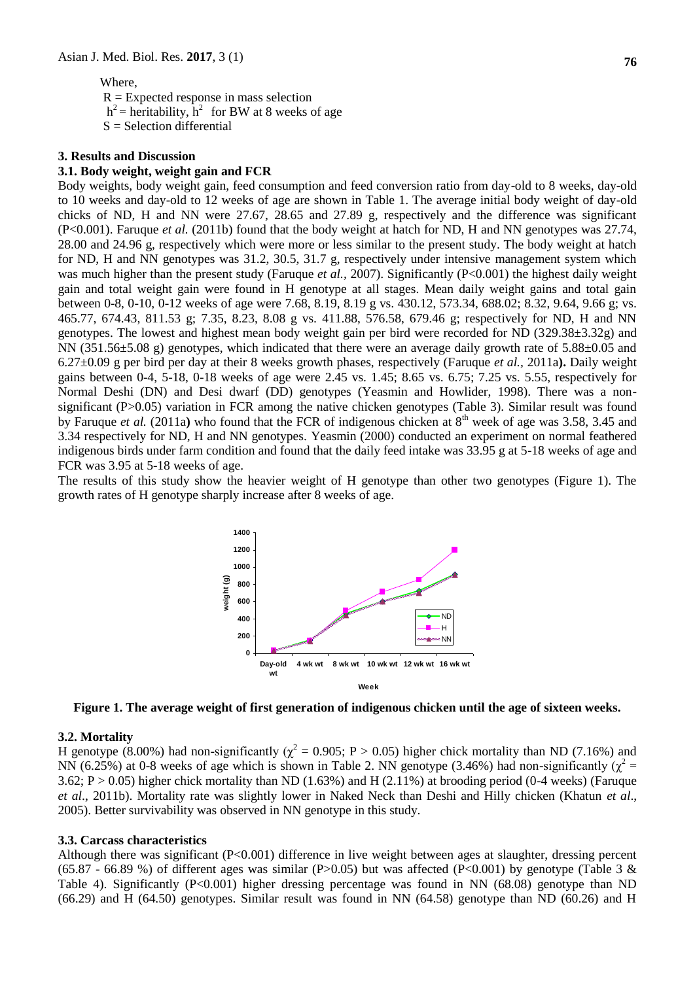### Where,

 $R =$  Expected response in mass selection  $h^2$  = heritability,  $h^2$  for BW at 8 weeks of age  $S =$  Selection differential

#### **3. Results and Discussion**

### **3.1. Body weight, weight gain and FCR**

Body weights, body weight gain, feed consumption and feed conversion ratio from day-old to 8 weeks, day-old to 10 weeks and day-old to 12 weeks of age are shown in Table 1. The average initial body weight of day-old chicks of ND, H and NN were 27.67, 28.65 and 27.89 g, respectively and the difference was significant (P<0.001). Faruque *et al.* (2011b) found that the body weight at hatch for ND, H and NN genotypes was 27.74, 28.00 and 24.96 g, respectively which were more or less similar to the present study. The body weight at hatch for ND, H and NN genotypes was 31.2, 30.5, 31.7 g, respectively under intensive management system which was much higher than the present study (Faruque *et al., 2007*). Significantly (P<0.001) the highest daily weight gain and total weight gain were found in H genotype at all stages. Mean daily weight gains and total gain between 0-8, 0-10, 0-12 weeks of age were 7.68, 8.19, 8.19 g vs. 430.12, 573.34, 688.02; 8.32, 9.64, 9.66 g; vs. 465.77, 674.43, 811.53 g; 7.35, 8.23, 8.08 g vs. 411.88, 576.58, 679.46 g; respectively for ND, H and NN genotypes. The lowest and highest mean body weight gain per bird were recorded for ND (329.38±3.32g) and NN (351.56±5.08 g) genotypes, which indicated that there were an average daily growth rate of 5.88±0.05 and 6.27±0.09 g per bird per day at their 8 weeks growth phases, respectively (Faruque *et al.,* 2011a**).** Daily weight gains between 0-4, 5-18, 0-18 weeks of age were 2.45 vs. 1.45; 8.65 vs. 6.75; 7.25 vs. 5.55, respectively for Normal Deshi (DN) and Desi dwarf (DD) genotypes (Yeasmin and Howlider, 1998). There was a nonsignificant (P>0.05) variation in FCR among the native chicken genotypes (Table 3). Similar result was found by Faruque *et al.* (2011a) who found that the FCR of indigenous chicken at 8<sup>th</sup> week of age was 3.58, 3.45 and 3.34 respectively for ND, H and NN genotypes. Yeasmin (2000) conducted an experiment on normal feathered indigenous birds under farm condition and found that the daily feed intake was 33.95 g at 5-18 weeks of age and FCR was 3.95 at 5-18 weeks of age.

The results of this study show the heavier weight of H genotype than other two genotypes (Figure 1). The growth rates of H genotype sharply increase after 8 weeks of age.



**Figure 1. The average weight of first generation of indigenous chicken until the age of sixteen weeks.**

### **3.2. Mortality**

H genotype (8.00%) had non-significantly ( $\chi^2 = 0.905$ ; P > 0.05) higher chick mortality than ND (7.16%) and NN (6.25%) at 0-8 weeks of age which is shown in Table 2. NN genotype (3.46%) had non-significantly ( $\chi^2$  = 3.62;  $P > 0.05$ ) higher chick mortality than ND (1.63%) and H (2.11%) at brooding period (0-4 weeks) (Faruque *et al*., 2011b). Mortality rate was slightly lower in Naked Neck than Deshi and Hilly chicken (Khatun *et al*., 2005). Better survivability was observed in NN genotype in this study.

### **3.3. Carcass characteristics**

Although there was significant (P<0.001) difference in live weight between ages at slaughter, dressing percent (65.87 - 66.89 %) of different ages was similar (P>0.05) but was affected (P<0.001) by genotype (Table 3 & Table 4). Significantly (P<0.001) higher dressing percentage was found in NN (68.08) genotype than ND (66.29) and H (64.50) genotypes. Similar result was found in NN (64.58) genotype than ND (60.26) and H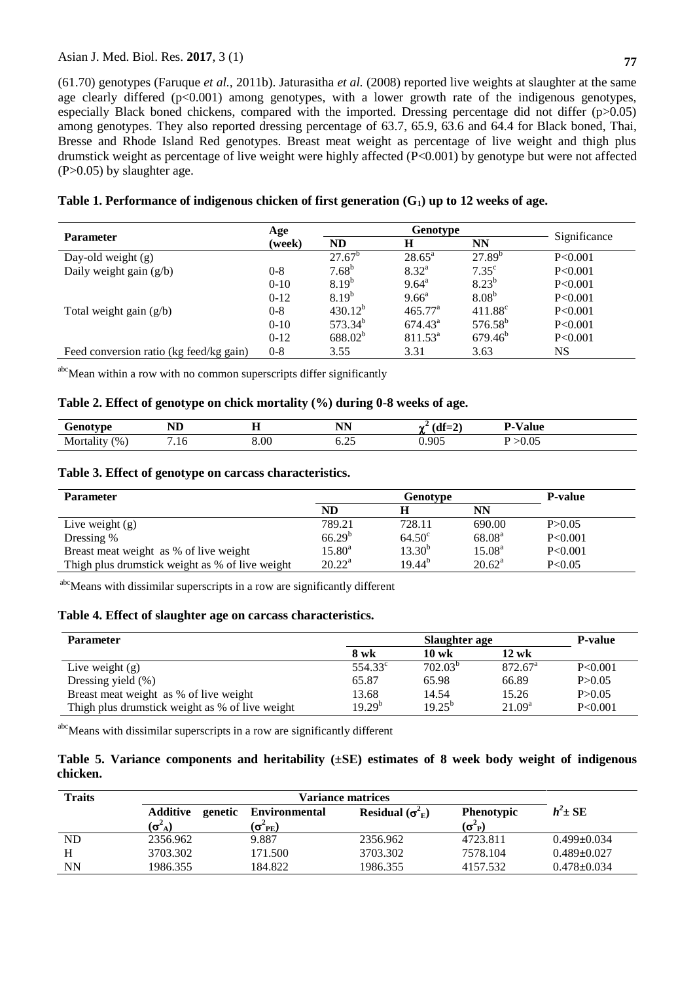### Asian J. Med. Biol. Res. **2017**, 3 (1)

(61.70) genotypes (Faruque *et al.,* 2011b). Jaturasitha *et al.* (2008) reported live weights at slaughter at the same age clearly differed  $(p<0.001)$  among genotypes, with a lower growth rate of the indigenous genotypes, especially Black boned chickens, compared with the imported. Dressing percentage did not differ (p>0.05) among genotypes. They also reported dressing percentage of 63.7, 65.9, 63.6 and 64.4 for Black boned, Thai, Bresse and Rhode Island Red genotypes. Breast meat weight as percentage of live weight and thigh plus drumstick weight as percentage of live weight were highly affected (P<0.001) by genotype but were not affected (P>0.05) by slaughter age.

|                                         | Age     |                     |                  |                   |              |
|-----------------------------------------|---------|---------------------|------------------|-------------------|--------------|
| <b>Parameter</b>                        | (week)  | ND                  | H                | <b>NN</b>         | Significance |
| Day-old weight $(g)$                    |         | $27.67^b$           | $28.65^{\circ}$  | $27.89^{b}$       | P < 0.001    |
| Daily weight gain $(g/b)$               | $0 - 8$ | $7.68^{b}$          | $8.32^{\rm a}$   | $7.35^{\circ}$    | P<0.001      |
|                                         | $0-10$  | $8.19^{b}$          | $9.64^{\circ}$   | $8.23^{b}$        | P < 0.001    |
|                                         | $0-12$  | $8.19^{b}$          | $9.66^{\circ}$   | 8.08 <sup>b</sup> | P<0.001      |
| Total weight gain $(g/b)$               | $0 - 8$ | $430.12^{b}$        | $465.77^{\circ}$ | $411.88^{\circ}$  | P<0.001      |
|                                         | $0-10$  | $573.34^{b}$        | $674.43^{\circ}$ | $576.58^{b}$      | P<0.001      |
|                                         | $0-12$  | 688.02 <sup>b</sup> | $811.53^{\circ}$ | $679.46^{\circ}$  | P<0.001      |
| Feed conversion ratio (kg feed/kg gain) | $0 - 8$ | 3.55                | 3.31             | 3.63              | NS           |
|                                         |         |                     |                  |                   |              |

### **Table 1. Performance of indigenous chicken of first generation (G1) up to 12 weeks of age.**

abcMean within a row with no common superscripts differ significantly

### **Table 2. Effect of genotype on chick mortality (%) during 0-8 weeks of age.**

| $'$ on otvoo<br>∪€<br>D<br>. . | ND  | --<br>-- | <b>NIN</b><br>- 14 1 | Л£.<br>$\rightarrow$<br>\ul—41<br>. | / alue<br>٠.  |
|--------------------------------|-----|----------|----------------------|-------------------------------------|---------------|
| (9/6)<br>Morta                 | .10 | $8.00\,$ | ∪.∠J                 | 0.905                               | .ስ ስብ<br>v.v. |

### **Table 3. Effect of genotype on carcass characteristics.**

| <b>Parameter</b>                                |                    | <b>P-value</b>     |                    |           |
|-------------------------------------------------|--------------------|--------------------|--------------------|-----------|
|                                                 | ND                 |                    | NN                 |           |
| Live weight $(g)$                               | 789.21             | 728.11             | 690.00             | P > 0.05  |
| Dressing %                                      | $66.29^{b}$        | 64.50 <sup>c</sup> | 68.08 <sup>a</sup> | P<0.001   |
| Breast meat weight as % of live weight          | $15.80^{\text{a}}$ | $13.30^{b}$        | $15.08^{\rm a}$    | P < 0.001 |
| Thigh plus drumstick weight as % of live weight | $20.22^a$          | 19.44 <sup>b</sup> | $20.62^{\rm a}$    | P < 0.05  |

abcMeans with dissimilar superscripts in a row are significantly different

### **Table 4. Effect of slaughter age on carcass characteristics.**

| <b>Parameter</b>                                |                  | <b>P-value</b>  |                     |          |
|-------------------------------------------------|------------------|-----------------|---------------------|----------|
|                                                 | 8 wk             | $10 \text{ wk}$ | $12 \text{ wk}$     |          |
| Live weight $(g)$                               | $554.33^{\circ}$ | $702.03^{b}$    | 872.67 <sup>a</sup> | P<0.001  |
| Dressing yield $(\%)$                           | 65.87            | 65.98           | 66.89               | P > 0.05 |
| Breast meat weight as % of live weight          | 13.68            | 14.54           | 15.26               | P > 0.05 |
| Thigh plus drumstick weight as % of live weight | $19.29^{b}$      | $19.25^{b}$     | 21.09 <sup>a</sup>  | P<0.001  |

abcMeans with dissimilar superscripts in a row are significantly different

### **Table 5. Variance components and heritability (±SE) estimates of 8 week body weight of indigenous chicken.**

| <b>Traits</b> |                                   |                                                |                               |                                      |                   |
|---------------|-----------------------------------|------------------------------------------------|-------------------------------|--------------------------------------|-------------------|
|               | Additive<br>$(\sigma^\omega{}_A)$ | genetic Environmental<br>$(\sigma^2_{\rm PE})$ | Residual $(\sigma_{\rm E}^2)$ | Phenotypic<br>$(\sigma^2{}_{\rm P})$ | $h^2 \pm SE$      |
| ND            | 2356.962                          | 9.887                                          | 2356.962                      | 4723.811                             | $0.499 \pm 0.034$ |
| Н             | 3703.302                          | 171.500                                        | 3703.302                      | 7578.104                             | $0.489 \pm 0.027$ |
| NN            | 1986.355                          | 184.822                                        | 1986.355                      | 4157.532                             | $0.478 \pm 0.034$ |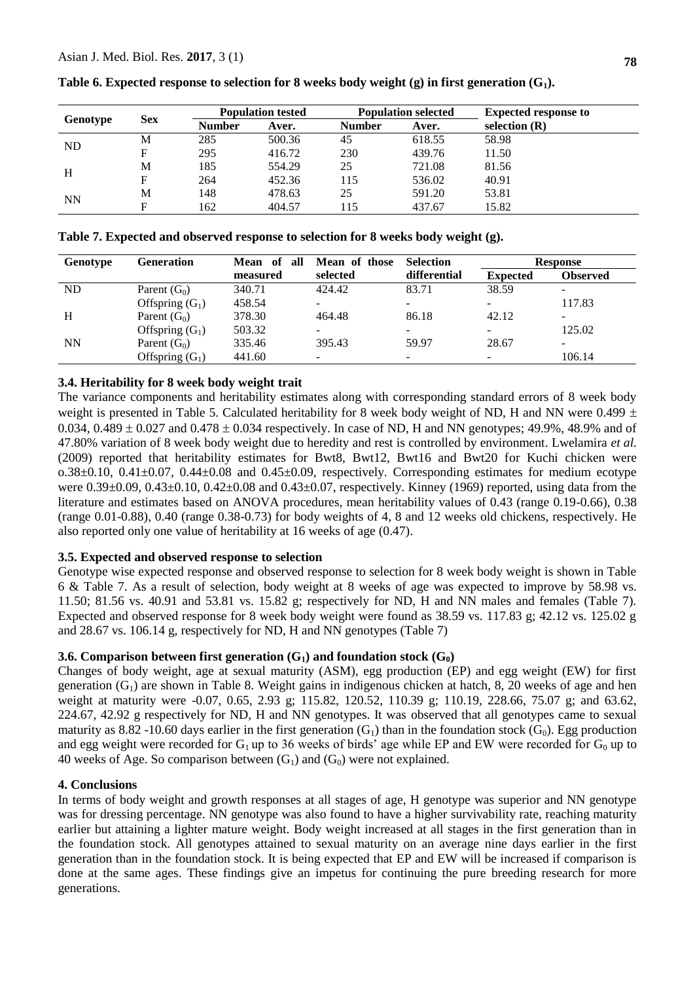| <b>Sex</b> | <b>Population tested</b> |        |               |        | <b>Expected response to</b> |
|------------|--------------------------|--------|---------------|--------|-----------------------------|
|            | <b>Number</b>            | Aver.  | <b>Number</b> | Aver.  | selection $(R)$             |
| M          | 285                      | 500.36 | 45            | 618.55 | 58.98                       |
| F          | 295                      | 416.72 | 230           | 439.76 | 11.50                       |
| M          | 185                      | 554.29 | 25            | 721.08 | 81.56                       |
| F          | 264                      | 452.36 | 115           | 536.02 | 40.91                       |
| M          | 148                      | 478.63 | 25            | 591.20 | 53.81                       |
|            | 162                      | 404.57 | 115           | 437.67 | 15.82                       |
|            |                          |        |               |        | <b>Population selected</b>  |

**Table 6. Expected response to selection for 8 weeks body weight (g) in first generation (G1).**

**Table 7. Expected and observed response to selection for 8 weeks body weight (g).**

| <b>Genotype</b> | Generation        | Mean of all | Mean of those            | <b>Selection</b>         |                 | <b>Response</b>          |
|-----------------|-------------------|-------------|--------------------------|--------------------------|-----------------|--------------------------|
|                 |                   | measured    | selected                 | differential             | <b>Expected</b> | <b>Observed</b>          |
| ND.             | Parent $(G_0)$    | 340.71      | 424.42                   | 83.71                    | 38.59           | $\overline{\phantom{0}}$ |
|                 | Offspring $(G_1)$ | 458.54      |                          | -                        |                 | 117.83                   |
| H               | Parent $(G_0)$    | 378.30      | 464.48                   | 86.18                    | 42.12           | $\overline{\phantom{0}}$ |
|                 | Offspring $(G_1)$ | 503.32      | $\overline{\phantom{0}}$ | -                        |                 | 125.02                   |
| <b>NN</b>       | Parent $(G_0)$    | 335.46      | 395.43                   | 59.97                    | 28.67           | $\overline{\phantom{0}}$ |
|                 | Offspring $(G_1)$ | 441.60      | -                        | $\overline{\phantom{0}}$ |                 | 106.14                   |

# **3.4. Heritability for 8 week body weight trait**

The variance components and heritability estimates along with corresponding standard errors of 8 week body weight is presented in Table 5. Calculated heritability for 8 week body weight of ND, H and NN were 0.499  $\pm$ 0.034, 0.489  $\pm$  0.027 and 0.478  $\pm$  0.034 respectively. In case of ND, H and NN genotypes; 49.9%, 48.9% and of 47.80% variation of 8 week body weight due to heredity and rest is controlled by environment. Lwelamira *et al.* (2009) reported that heritability estimates for Bwt8, Bwt12, Bwt16 and Bwt20 for Kuchi chicken were o.38±0.10, 0.41±0.07, 0.44±0.08 and 0.45±0.09, respectively. Corresponding estimates for medium ecotype were  $0.39\pm0.09$ ,  $0.43\pm0.10$ ,  $0.42\pm0.08$  and  $0.43\pm0.07$ , respectively. Kinney (1969) reported, using data from the literature and estimates based on ANOVA procedures, mean heritability values of 0.43 (range 0.19-0.66), 0.38 (range 0.01-0.88), 0.40 (range 0.38-0.73) for body weights of 4, 8 and 12 weeks old chickens, respectively. He also reported only one value of heritability at 16 weeks of age (0.47).

# **3.5. Expected and observed response to selection**

Genotype wise expected response and observed response to selection for 8 week body weight is shown in Table 6 & Table 7. As a result of selection, body weight at 8 weeks of age was expected to improve by 58.98 vs. 11.50; 81.56 vs. 40.91 and 53.81 vs. 15.82 g; respectively for ND, H and NN males and females (Table 7). Expected and observed response for 8 week body weight were found as 38.59 vs. 117.83 g; 42.12 vs. 125.02 g and 28.67 vs. 106.14 g, respectively for ND, H and NN genotypes (Table 7)

# **3.6. Comparison between first generation**  $(G_1)$  **and foundation stock**  $(G_0)$

Changes of body weight, age at sexual maturity (ASM), egg production (EP) and egg weight (EW) for first generation  $(G_1)$  are shown in Table 8. Weight gains in indigenous chicken at hatch, 8, 20 weeks of age and hen weight at maturity were -0.07, 0.65, 2.93 g; 115.82, 120.52, 110.39 g; 110.19, 228.66, 75.07 g; and 63.62, 224.67, 42.92 g respectively for ND, H and NN genotypes. It was observed that all genotypes came to sexual maturity as 8.82 -10.60 days earlier in the first generation  $(G_1)$  than in the foundation stock  $(G_0)$ . Egg production and egg weight were recorded for  $G_1$  up to 36 weeks of birds' age while EP and EW were recorded for  $G_0$  up to 40 weeks of Age. So comparison between  $(G_1)$  and  $(G_0)$  were not explained.

# **4. Conclusions**

In terms of body weight and growth responses at all stages of age, H genotype was superior and NN genotype was for dressing percentage. NN genotype was also found to have a higher survivability rate, reaching maturity earlier but attaining a lighter mature weight. Body weight increased at all stages in the first generation than in the foundation stock. All genotypes attained to sexual maturity on an average nine days earlier in the first generation than in the foundation stock. It is being expected that EP and EW will be increased if comparison is done at the same ages. These findings give an impetus for continuing the pure breeding research for more generations.